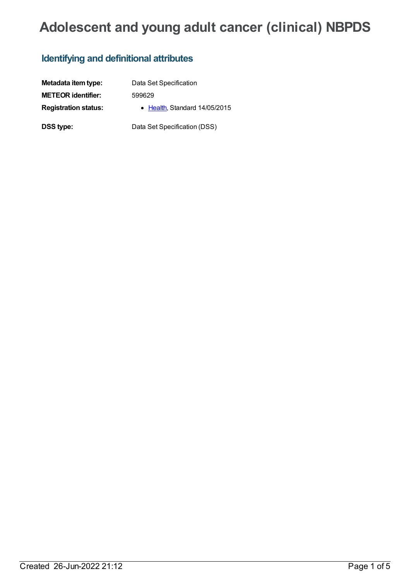# **Adolescent and young adult cancer (clinical) NBPDS**

# **Identifying and definitional attributes**

| Metadata item type:         | Data Set Specification       |
|-----------------------------|------------------------------|
| <b>METEOR identifier:</b>   | 599629                       |
| <b>Registration status:</b> | • Health Standard 14/05/2015 |
| DSS type:                   | Data Set Specification (DSS) |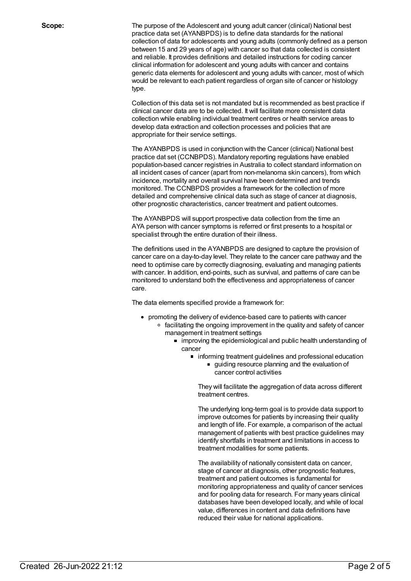**Scope:** The purpose of the Adolescent and young adult cancer (clinical) National best practice data set (AYANBPDS) is to define data standards for the national collection of data for adolescents and young adults (commonly defined as a person between 15 and 29 years of age) with cancer so that data collected is consistent and reliable. It provides definitions and detailed instructions for coding cancer clinical information for adolescent and young adults with cancer and contains generic data elements for adolescent and young adults with cancer, most of which would be relevant to each patient regardless of organ site of cancer or histology type.

> Collection of this data set is not mandated but is recommended as best practice if clinical cancer data are to be collected. It will facilitate more consistent data collection while enabling individual treatment centres or health service areas to develop data extraction and collection processes and policies that are appropriate for their service settings.

The AYANBPDS is used in conjunction with the Cancer (clinical) National best practice dat set (CCNBPDS). Mandatory reporting regulations have enabled population-based cancer registries in Australia to collect standard information on all incident cases of cancer (apart from non-melanoma skin cancers), from which incidence, mortality and overall survival have been determined and trends monitored. The CCNBPDS provides a framework for the collection of more detailed and comprehensive clinical data such as stage of cancer at diagnosis, other prognostic characteristics, cancer treatment and patient outcomes.

The AYANBPDS will support prospective data collection from the time an AYA person with cancer symptoms is referred or first presents to a hospital or specialist through the entire duration of their illness.

The definitions used in the AYANBPDS are designed to capture the provision of cancer care on a day-to-day level. They relate to the cancer care pathway and the need to optimise care by correctly diagnosing, evaluating and managing patients with cancer. In addition, end-points, such as survival, and patterns of care can be monitored to understand both the effectiveness and appropriateness of cancer care.

The data elements specified provide a framework for:

- promoting the delivery of evidence-based care to patients with cancer
	- facilitating the ongoing improvement in the quality and safety of cancer management in treatment settings
		- **improving the epidemiological and public health understanding of** cancer
			- **nd** informing treatment guidelines and professional education
				- guiding resource planning and the evaluation of cancer control activities

They will facilitate the aggregation of data across different treatment centres.

The underlying long-term goal is to provide data support to improve outcomes for patients by increasing their quality and length of life. For example, a comparison of the actual management of patients with best practice guidelines may identify shortfalls in treatment and limitations in access to treatment modalities for some patients.

The availability of nationally consistent data on cancer, stage of cancer at diagnosis, other prognostic features, treatment and patient outcomes is fundamental for monitoring appropriateness and quality of cancer services and for pooling data for research. For many years clinical databases have been developed locally, and while of local value, differences in content and data definitions have reduced their value for national applications.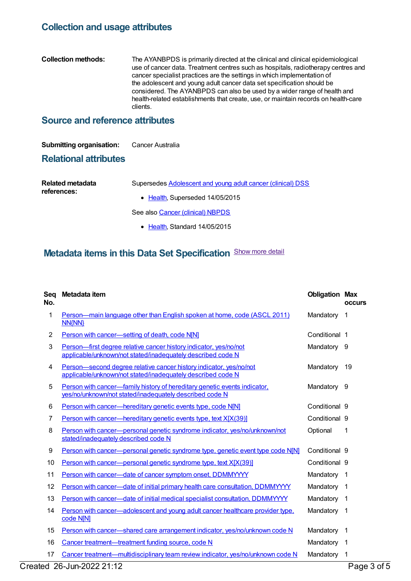## **Collection and usage attributes**

#### **Collection methods:** The AYANBPDS is primarily directed at the clinical and clinical epidemiological use of cancer data. Treatment centres such as hospitals, radiotherapy centres and cancer specialist practices are the settings in which implementation of the adolescent and young adult cancer data set specification should be considered. The AYANBPDS can also be used by a wider range of health and health-related establishments that create, use, or maintain records on health-care clients.

## **Source and reference attributes**

#### **Submitting organisation:** Cancer Australia

### **Relational attributes**

| Related metadata | Supersedes Adolescent and young adult cancer (clinical) DSS |
|------------------|-------------------------------------------------------------|
| references:      | • Health, Superseded 14/05/2015                             |
|                  | See also Cancer (clinical) NBPDS                            |

• [Health](https://meteor.aihw.gov.au/RegistrationAuthority/12), Standard 14/05/2015

## **Metadata items in this Data Set Specification** Show more detail

| Seq<br>No.     | Metadata item                                                                                                                        | <b>Obligation Max</b> | <b>occurs</b>           |
|----------------|--------------------------------------------------------------------------------------------------------------------------------------|-----------------------|-------------------------|
| 1              | Person—main language other than English spoken at home, code (ASCL 2011)<br><b>NN{NN}</b>                                            | Mandatory             | 1                       |
| $\overline{2}$ | Person with cancer-setting of death, code N[N]                                                                                       | Conditional 1         |                         |
| 3              | Person-first degree relative cancer history indicator, yes/no/not<br>applicable/unknown/not stated/inadequately described code N     | Mandatory 9           |                         |
| 4              | Person-second degree relative cancer history indicator, yes/no/not<br>applicable/unknown/not stated/inadequately described code N    | Mandatory             | 19                      |
| 5              | Person with cancer—family history of hereditary genetic events indicator.<br>yes/no/unknown/not stated/inadequately described code N | Mandatory 9           |                         |
| 6              | Person with cancer-hereditary genetic events type, code N[N]                                                                         | Conditional 9         |                         |
| 7              | Person with cancer—hereditary genetic events type, text X[X(39)]                                                                     | Conditional 9         |                         |
| 8              | Person with cancer-personal genetic syndrome indicator, yes/no/unknown/not<br>stated/inadequately described code N                   | Optional              | 1                       |
| 9              | Person with cancer—personal genetic syndrome type, genetic event type code N[N]                                                      | Conditional 9         |                         |
| 10             | Person with cancer-personal genetic syndrome type, text X[X(39)]                                                                     | Conditional 9         |                         |
| 11             | Person with cancer-date of cancer symptom onset, DDMMYYYY                                                                            | Mandatory             | $\mathbf 1$             |
| 12             | Person with cancer—date of initial primary health care consultation, DDMMYYYY                                                        | Mandatory             | $\overline{\mathbf{1}}$ |
| 13             | Person with cancer—date of initial medical specialist consultation, DDMMYYYY                                                         | Mandatory             | $\mathbf 1$             |
| 14             | Person with cancer—adolescent and young adult cancer healthcare provider type.<br>code N[N]                                          | Mandatory             | $\mathbf 1$             |
| 15             | Person with cancer—shared care arrangement indicator, yes/no/unknown code N                                                          | Mandatory             | $\mathbf 1$             |
| 16             | Cancer treatment—treatment funding source, code N                                                                                    | Mandatory             | 1                       |
| 17             | Cancer treatment—multidisciplinary team review indicator, yes/no/unknown code N                                                      | Mandatory             | 1                       |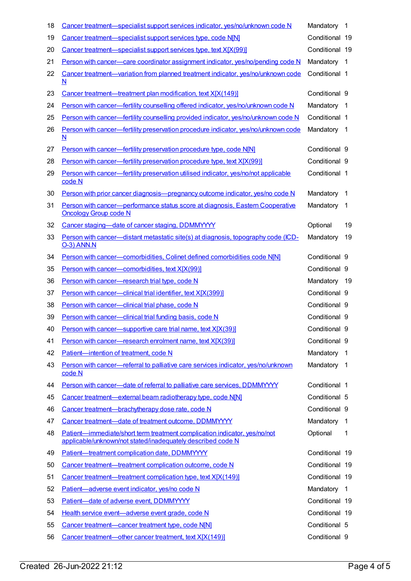| 18 | Cancer treatment—specialist support services indicator, yes/no/unknown code N                                                            | Mandatory      | $\mathbf 1$    |
|----|------------------------------------------------------------------------------------------------------------------------------------------|----------------|----------------|
| 19 | Cancer treatment-specialist support services type, code N[N]                                                                             | Conditional 19 |                |
| 20 | Cancer treatment—specialist support services type, text X[X(99)]                                                                         | Conditional 19 |                |
| 21 | Person with cancer—care coordinator assignment indicator, yes/no/pending code N                                                          | Mandatory      | -1             |
| 22 | Cancer treatment—variation from planned treatment indicator, yes/no/unknown code<br>$\mathbf N$                                          | Conditional 1  |                |
| 23 | Cancer treatment—treatment plan modification, text X[X(149)]                                                                             | Conditional 9  |                |
| 24 | Person with cancer—fertility counselling offered indicator, yes/no/unknown code N                                                        | Mandatory      | -1             |
| 25 | Person with cancer—fertility counselling provided indicator, yes/no/unknown code N                                                       | Conditional 1  |                |
| 26 | Person with cancer—fertility preservation procedure indicator, yes/no/unknown code<br>N                                                  | Mandatory      | -1             |
| 27 | Person with cancer—fertility preservation procedure type, code NINI                                                                      | Conditional 9  |                |
| 28 | Person with cancer—fertility preservation procedure type, text X[X(99)]                                                                  | Conditional 9  |                |
| 29 | Person with cancer—fertility preservation utilised indicator, yes/no/not applicable<br>code N                                            | Conditional 1  |                |
| 30 | Person with prior cancer diagnosis-pregnancy outcome indicator, yes/no code N                                                            | Mandatory      | -1             |
| 31 | Person with cancer—performance status score at diagnosis, Eastern Cooperative<br><b>Oncology Group code N</b>                            | Mandatory      | $\overline{1}$ |
| 32 | Cancer staging-date of cancer staging, DDMMYYYY                                                                                          | Optional       | 19             |
| 33 | Person with cancer—distant metastatic site(s) at diagnosis, topography code (ICD-<br><b>O-3) ANN.N</b>                                   | Mandatory      | 19             |
| 34 | Person with cancer-comorbidities, Colinet defined comorbidities code N[N]                                                                | Conditional 9  |                |
| 35 | Person with cancer-comorbidities, text X[X(99)]                                                                                          | Conditional 9  |                |
| 36 | Person with cancer-research trial type, code N                                                                                           | Mandatory 19   |                |
| 37 | Person with cancer-clinical trial identifier, text X[X(399)]                                                                             | Conditional 9  |                |
| 38 | Person with cancer-clinical trial phase, code N                                                                                          | Conditional 9  |                |
| 39 | Person with cancer-clinical trial funding basis, code N                                                                                  | Conditional 9  |                |
| 40 | Person with cancer—supportive care trial name, text X[X(39)]                                                                             | Conditional 9  |                |
| 41 | Person with cancer—research enrolment name, text X[X(39)]                                                                                | Conditional 9  |                |
| 42 | Patient-intention of treatment, code N                                                                                                   | Mandatory      | 1              |
| 43 | Person with cancer—referral to palliative care services indicator, yes/no/unknown<br>code N                                              | Mandatory      | -1             |
| 44 | Person with cancer-date of referral to palliative care services, DDMMYYYY                                                                | Conditional 1  |                |
| 45 | Cancer treatment-external beam radiotherapy type, code N[N]                                                                              | Conditional 5  |                |
| 46 | Cancer treatment-brachytherapy dose rate, code N                                                                                         | Conditional 9  |                |
| 47 | Cancer treatment-date of treatment outcome, DDMMYYYY                                                                                     | Mandatory      | 1              |
| 48 | Patient-immediate/short term treatment complication indicator, yes/no/not<br>applicable/unknown/not stated/inadequately described code N | Optional       | 1              |
| 49 | Patient-treatment complication date, DDMMYYYY                                                                                            | Conditional 19 |                |
| 50 | Cancer treatment-treatment complication outcome, code N                                                                                  | Conditional 19 |                |
| 51 | Cancer treatment—treatment complication type, text X[X(149)]                                                                             | Conditional 19 |                |
| 52 | Patient-adverse event indicator, yes/no code N                                                                                           | Mandatory      | 1              |
| 53 | Patient-date of adverse event, DDMMYYYY                                                                                                  | Conditional 19 |                |
| 54 | Health service event-adverse event grade, code N                                                                                         | Conditional 19 |                |
| 55 | Cancer treatment-cancer treatment type, code N[N]                                                                                        | Conditional 5  |                |
| 56 | Cancer treatment-other cancer treatment, text X[X(149)]                                                                                  | Conditional 9  |                |